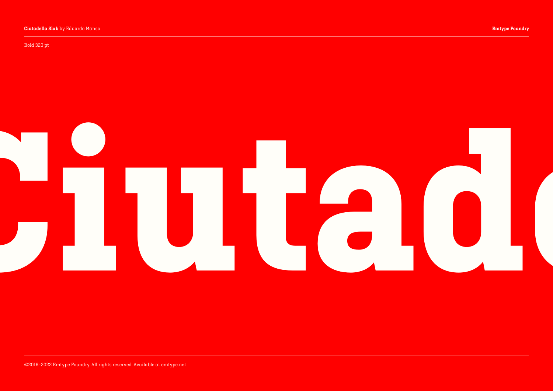Bold 320 pt

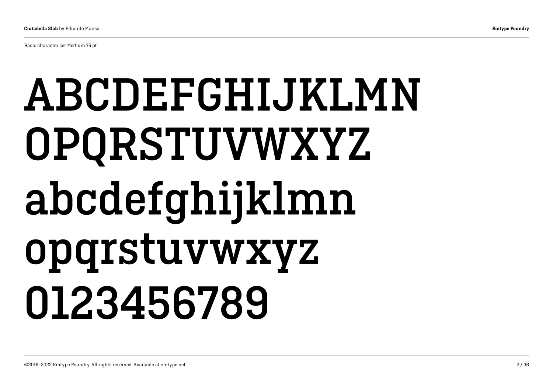Basic character set Medium 75 pt

## ABCDEFGHIJKLMN OPQRSTUVWXYZ abcdefghijklmn opqrstuvwxyz 0123456789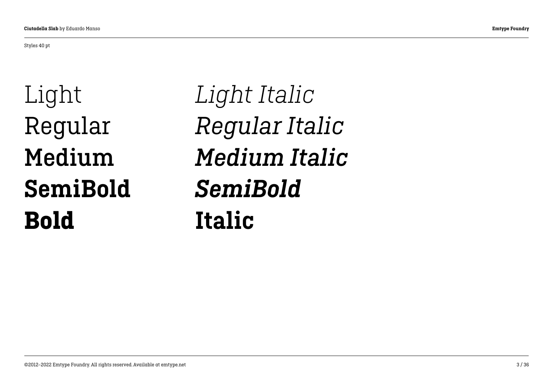#### Styles 40 pt

Light Regular Medium SemiBold Bold

*Light Italic Regular Italic Medium Italic SemiBold* Italic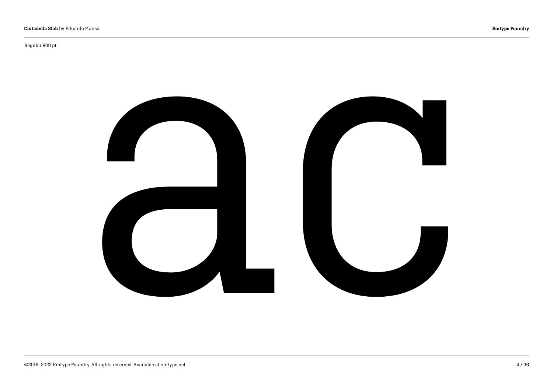Regular 600 pt

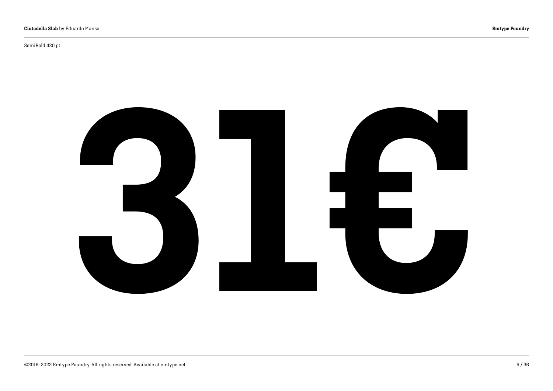SemiBold 420 pt

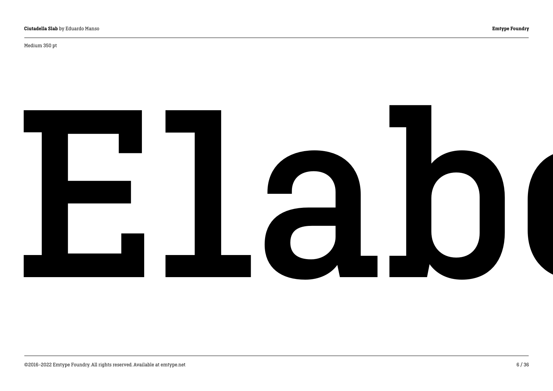Medium 350 pt

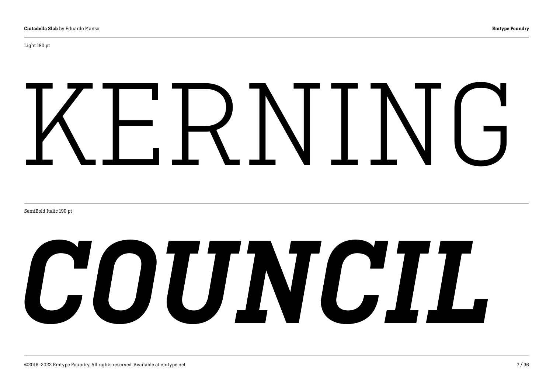Light 190 pt

# KERNING

SemiBold Italic 190 pt

# *COUNCIL*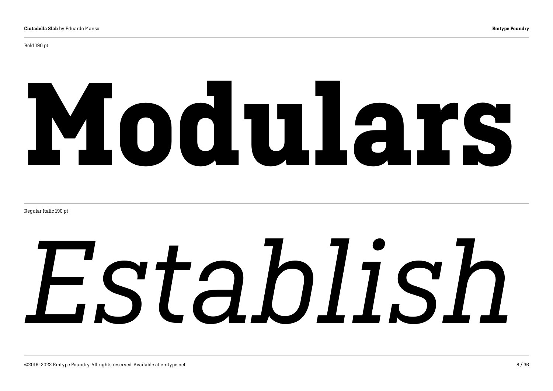# Modulars

Regular Italic 190 pt

# *Establish*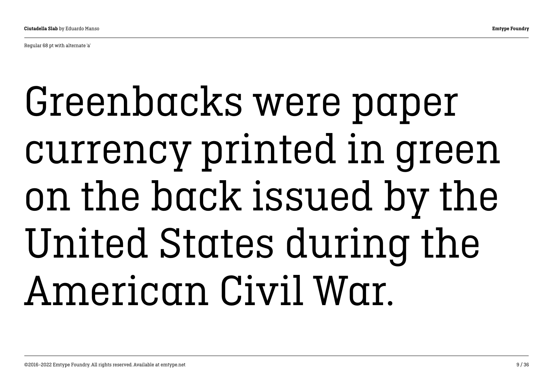Regular 68 pt with alternate 'a'

## Greenbacks were paper currency printed in green on the back issued by the United States during the American Civil War.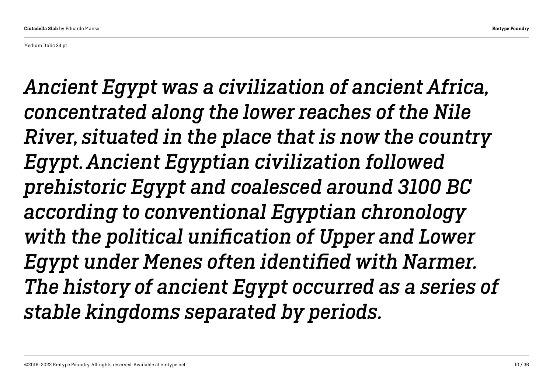Medium Italic 34 pt

*Ancient Egypt was a civilization of ancient Africa, concentrated along the lower reaches of the Nile River, situated in the place that is now the country Egypt. Ancient Egyptian civilization followed prehistoric Egypt and coalesced around 3100 BC according to conventional Egyptian chronology with the political unification of Upper and Lower Egypt under Menes often identified with Narmer. The history of ancient Egypt occurred as a series of stable kingdoms separated by periods.*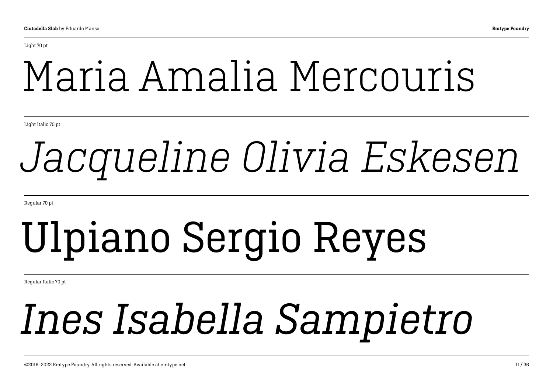Light 70 pt

## Maria Amalia Mercouris

Light Italic 70 pt

## *Jacqueline Olivia Eskesen*

Regular 70 pt

## Ulpiano Sergio Reyes

Regular Italic 70 pt

## *Ines Isabella Sampietro*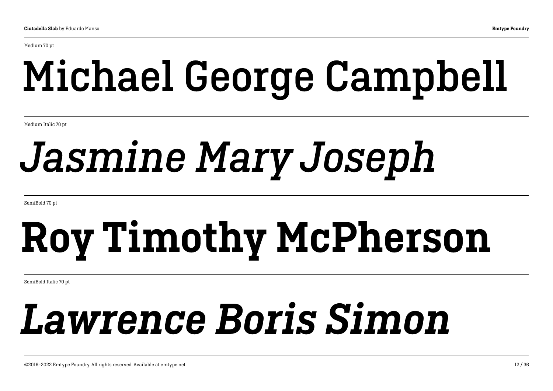Medium 70 pt

## Michael George Campbell

Medium Italic 70 pt

## *Jasmine Mary Joseph*

SemiBold 70 pt

## Roy Timothy McPherson

SemiBold Italic 70 pt

## *Lawrence Boris Simon*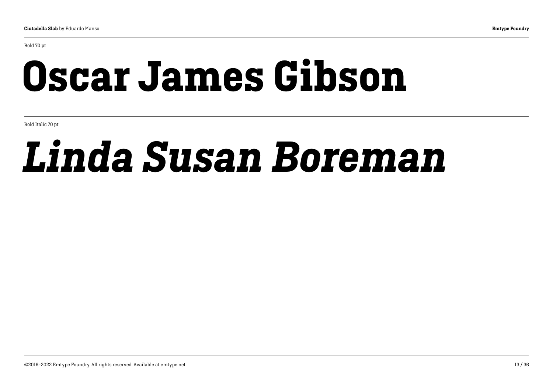Bold 70 pt

## Oscar James Gibson

Bold Italic 70 pt

## *Linda Susan Boreman*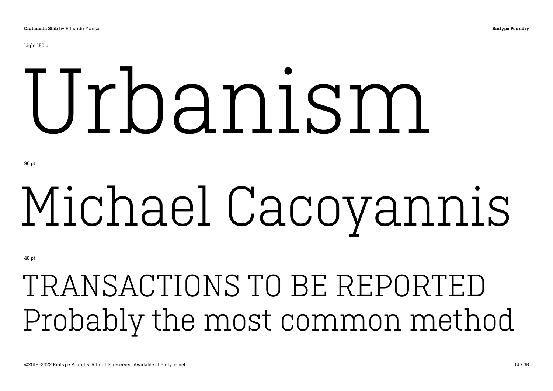# Urbanism

90 pt

# Michael Cacoyannis

48 pt

## TRANSACTIONS TO BE REPORTED Probably the most common method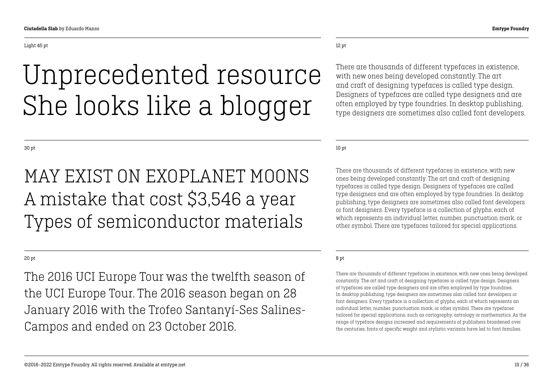### Unprecedented resource She looks like a blogger

### 12 pt

There are thousands of different typefaces in existence, with new ones being developed constantly. The art and craft of designing typefaces is called type design. Designers of typefaces are called type designers and are often employed by type foundries. In desktop publishing, type designers are sometimes also called font developers.

10 pt

There are thousands of different typefaces in existence, with new ones being developed constantly. The art and craft of designing typefaces is called type design. Designers of typefaces are called type designers and are often employed by type foundries. In desktop publishing, type designers are sometimes also called font developers or font designers. Every typeface is a collection of glyphs, each of which represents an individual letter, number, punctuation mark, or other symbol. There are typefaces tailored for special applications.

### 8 pt

There are thousands of different typefaces in existence, with new ones being developed constantly. The art and craft of designing typefaces is called type design. Designers of typefaces are called type designers and are often employed by type foundries. In desktop publishing, type designers are sometimes also called font developers or font designers. Every typeface is a collection of glyphs, each of which represents an individual letter, number, punctuation mark, or other symbol. There are typefaces tailored for special applications, such as cartography, astrology or mathematics. As the range of typeface designs increased and requirements of publishers broadened over the centuries, fonts of specific weight and stylistic variants have led to font families.

30 pt

### MAY EXIST ON EXOPLANET MOONS A mistake that cost \$3,546 a year Types of semiconductor materials

### 20 pt

The 2016 UCI Europe Tour was the twelfth season of the UCI Europe Tour. The 2016 season began on 28 January 2016 with the Trofeo Santanyí-Ses Salines-Campos and ended on 23 October 2016.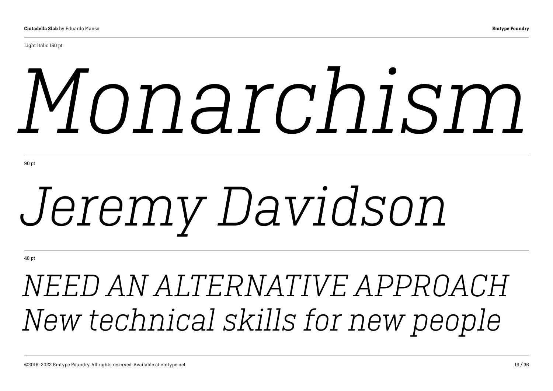# *Monarchism*

# *Jeremy Davidson*

48 pt

*NEED AN ALTERNATIVE APPROACH New technical skills for new people*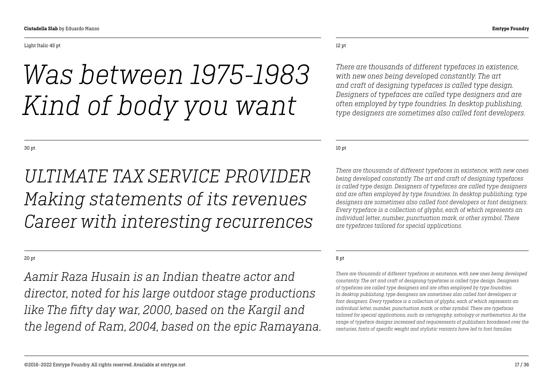### *Was between 1975-1983 Kind of body you want*

30 pt

### *ULTIMATE TAX SERVICE PROVIDER Making statements of its revenues Career with interesting recurrences*

20 pt

*Aamir Raza Husain is an Indian theatre actor and director, noted for his large outdoor stage productions like The fifty day war, 2000, based on the Kargil and the legend of Ram, 2004, based on the epic Ramayana.*

### 12 pt

*There are thousands of different typefaces in existence, with new ones being developed constantly. The art and craft of designing typefaces is called type design. Designers of typefaces are called type designers and are often employed by type foundries. In desktop publishing, type designers are sometimes also called font developers.* 

10 pt

*There are thousands of different typefaces in existence, with new ones being developed constantly. The art and craft of designing typefaces is called type design. Designers of typefaces are called type designers and are often employed by type foundries. In desktop publishing, type designers are sometimes also called font developers or font designers. Every typeface is a collection of glyphs, each of which represents an individual letter, number, punctuation mark, or other symbol. There are typefaces tailored for special applications.*

### 8 pt

*There are thousands of different typefaces in existence, with new ones being developed constantly. The art and craft of designing typefaces is called type design. Designers of typefaces are called type designers and are often employed by type foundries. In desktop publishing, type designers are sometimes also called font developers or font designers. Every typeface is a collection of glyphs, each of which represents an individual letter, number, punctuation mark, or other symbol. There are typefaces tailored for special applications, such as cartography, astrology or mathematics. As the range of typeface designs increased and requirements of publishers broadened over the centuries, fonts of specific weight and stylistic variants have led to font families.*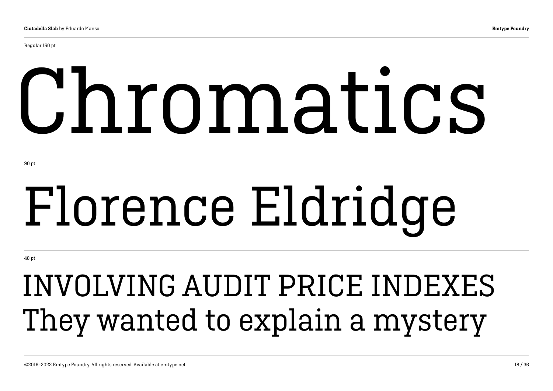Regular 150 pt

# Chromatics

90 pt

# Florence Eldridge

48 pt

## INVOLVING AUDIT PRICE INDEXES They wanted to explain a mystery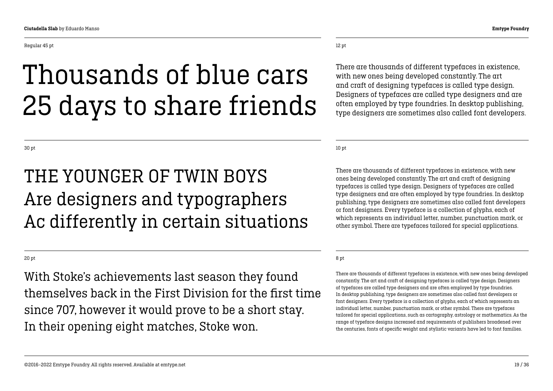### Thousands of blue cars 25 days to share friends

30 pt

### THE YOUNGER OF TWIN BOYS Are designers and typographers Ac differently in certain situations

20 pt

With Stoke's achievements last season they found themselves back in the First Division for the first time since 707, however it would prove to be a short stay. In their opening eight matches, Stoke won.

12 pt

There are thousands of different typefaces in existence, with new ones being developed constantly. The art and craft of designing typefaces is called type design. Designers of typefaces are called type designers and are often employed by type foundries. In desktop publishing, type designers are sometimes also called font developers.

10 pt

There are thousands of different typefaces in existence, with new ones being developed constantly. The art and craft of designing typefaces is called type design. Designers of typefaces are called type designers and are often employed by type foundries. In desktop publishing, type designers are sometimes also called font developers or font designers. Every typeface is a collection of glyphs, each of which represents an individual letter, number, punctuation mark, or other symbol. There are typefaces tailored for special applications.

### 8 pt

There are thousands of different typefaces in existence, with new ones being developed constantly. The art and craft of designing typefaces is called type design. Designers of typefaces are called type designers and are often employed by type foundries. In desktop publishing, type designers are sometimes also called font developers or font designers. Every typeface is a collection of glyphs, each of which represents an individual letter, number, punctuation mark, or other symbol. There are typefaces tailored for special applications, such as cartography, astrology or mathematics. As the range of typeface designs increased and requirements of publishers broadened over the centuries, fonts of specific weight and stylistic variants have led to font families.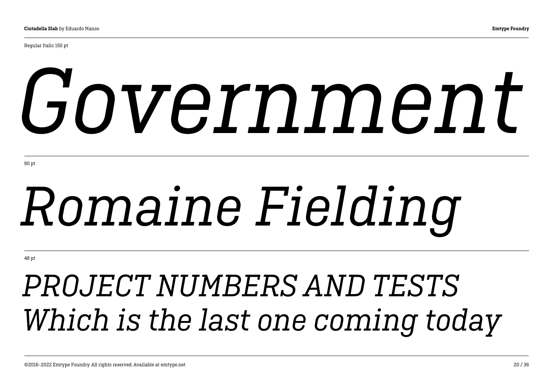Regular Italic 150 pt

# *Government*

90 pt

# *Romaine Fielding*

48 pt

### *PROJECT NUMBERS AND TESTS Which is the last one coming today*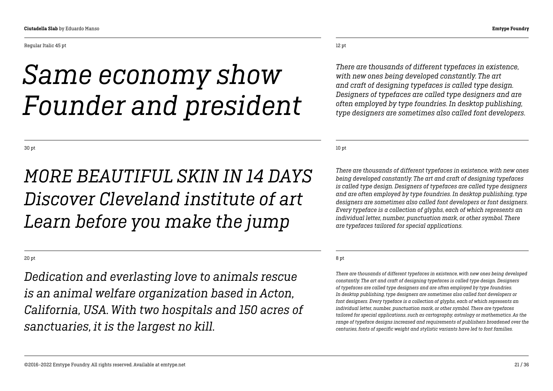Regular Italic 45 pt

### *Same economy show Founder and president*

30 pt

### *MORE BEAUTIFUL SKIN IN 14 DAYS Discover Cleveland institute of art Learn before you make the jump*

20 pt

*Dedication and everlasting love to animals rescue is an animal welfare organization based in Acton, California, USA. With two hospitals and 150 acres of sanctuaries, it is the largest no kill.*

12 pt

*There are thousands of different typefaces in existence, with new ones being developed constantly. The art and craft of designing typefaces is called type design. Designers of typefaces are called type designers and are often employed by type foundries. In desktop publishing, type designers are sometimes also called font developers.* 

10 pt

*There are thousands of different typefaces in existence, with new ones being developed constantly. The art and craft of designing typefaces is called type design. Designers of typefaces are called type designers and are often employed by type foundries. In desktop publishing, type designers are sometimes also called font developers or font designers. Every typeface is a collection of glyphs, each of which represents an individual letter, number, punctuation mark, or other symbol. There are typefaces tailored for special applications.*

### 8 pt

*There are thousands of different typefaces in existence, with new ones being developed constantly. The art and craft of designing typefaces is called type design. Designers of typefaces are called type designers and are often employed by type foundries. In desktop publishing, type designers are sometimes also called font developers or font designers. Every typeface is a collection of glyphs, each of which represents an individual letter, number, punctuation mark, or other symbol. There are typefaces tailored for special applications, such as cartography, astrology or mathematics. As the range of typeface designs increased and requirements of publishers broadened over the centuries, fonts of specific weight and stylistic variants have led to font families.*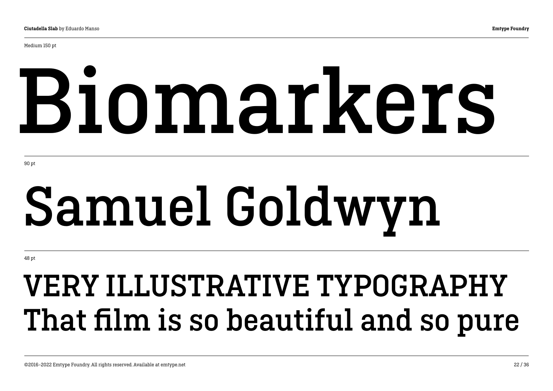Medium 150 pt

# Biomarkers

90 pt

# Samuel Goldwyn

48 pt

## VERY ILLUSTRATIVE TYPOGRAPHY That film is so beautiful and so pure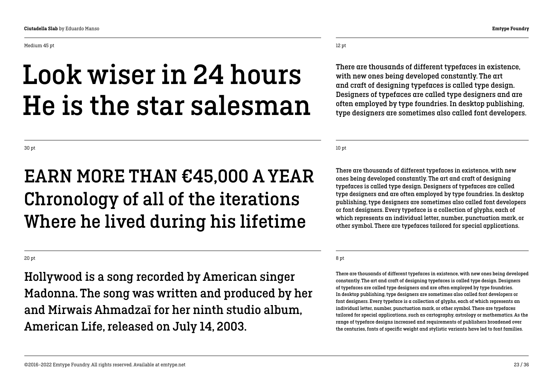Medium 45 pt

### Look wiser in 24 hours He is the star salesman

12 pt

There are thousands of different typefaces in existence, with new ones being developed constantly. The art and craft of designing typefaces is called type design. Designers of typefaces are called type designers and are often employed by type foundries. In desktop publishing, type designers are sometimes also called font developers.

10 pt

There are thousands of different typefaces in existence, with new ones being developed constantly. The art and craft of designing typefaces is called type design. Designers of typefaces are called type designers and are often employed by type foundries. In desktop publishing, type designers are sometimes also called font developers or font designers. Every typeface is a collection of glyphs, each of which represents an individual letter, number, punctuation mark, or other symbol. There are typefaces tailored for special applications.

#### 8 pt

There are thousands of different typefaces in existence, with new ones being developed constantly. The art and craft of designing typefaces is called type design. Designers of typefaces are called type designers and are often employed by type foundries. In desktop publishing, type designers are sometimes also called font developers or font designers. Every typeface is a collection of glyphs, each of which represents an individual letter, number, punctuation mark, or other symbol. There are typefaces tailored for special applications, such as cartography, astrology or mathematics. As the range of typeface designs increased and requirements of publishers broadened over the centuries, fonts of specific weight and stylistic variants have led to font families.

20 pt

30 pt

Hollywood is a song recorded by American singer Madonna. The song was written and produced by her and Mirwais Ahmadzaï for her ninth studio album, American Life, released on July 14, 2003.

Chronology of all of the iterations

Where he lived during his lifetime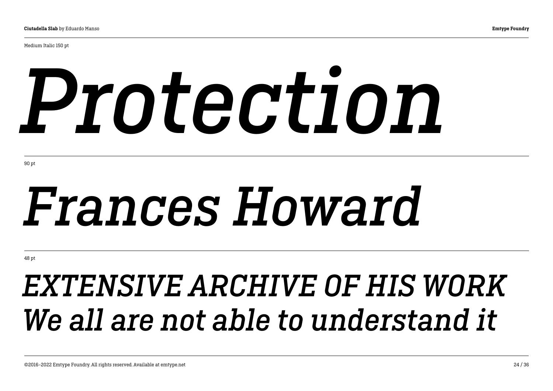Medium Italic 150 pt

# *Protection*

90 pt

## *Frances Howard*

48 pt

### *EXTENSIVE ARCHIVE OF HIS WORK We all are not able to understand it*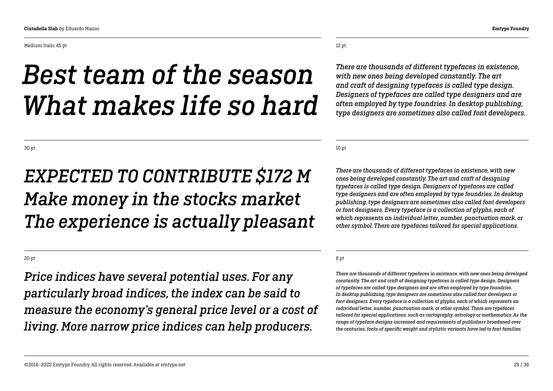#### Medium Italic 45 pt

### *Best team of the season What makes life so hard*

30 pt

### *EXPECTED TO CONTRIBUTE \$172 M Make money in the stocks market The experience is actually pleasant*

20 pt

*Price indices have several potential uses. For any particularly broad indices, the index can be said to measure the economy's general price level or a cost of living. More narrow price indices can help producers.*

12 pt

*There are thousands of different typefaces in existence, with new ones being developed constantly. The art and craft of designing typefaces is called type design. Designers of typefaces are called type designers and are often employed by type foundries. In desktop publishing, type designers are sometimes also called font developers.* 

10 pt

*There are thousands of different typefaces in existence, with new ones being developed constantly. The art and craft of designing typefaces is called type design. Designers of typefaces are called type designers and are often employed by type foundries. In desktop publishing, type designers are sometimes also called font developers or font designers. Every typeface is a collection of glyphs, each of which represents an individual letter, number, punctuation mark, or other symbol. There are typefaces tailored for special applications.*

#### 8 pt

*There are thousands of different typefaces in existence, with new ones being developed constantly. The art and craft of designing typefaces is called type design. Designers of typefaces are called type designers and are often employed by type foundries. In desktop publishing, type designers are sometimes also called font developers or font designers. Every typeface is a collection of glyphs, each of which represents an individual letter, number, punctuation mark, or other symbol. There are typefaces tailored for special applications, such as cartography, astrology or mathematics. As the range of typeface designs increased and requirements of publishers broadened over the centuries, fonts of specific weight and stylistic variants have led to font families.*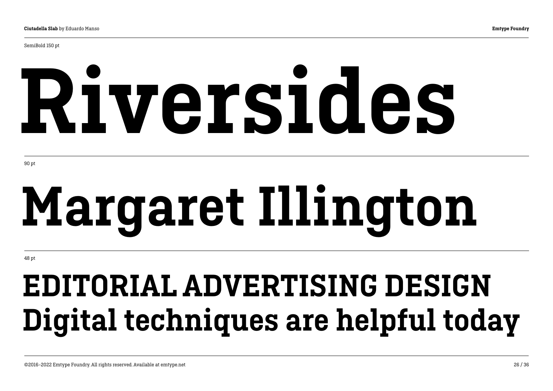SemiBold 150 pt

# Riversides

90 pt

# Margaret Illington

48 pt

## EDITORIAL ADVERTISING DESIGN Digital techniques are helpful today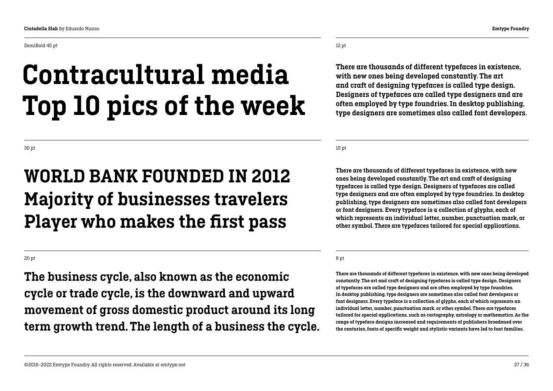SemiBold 45 pt

### Contracultural media Top 10 pics of the week

30 pt

### WORLD BANK FOUNDED IN 2012 Majority of businesses travelers Player who makes the first pass

20 pt

The business cycle, also known as the economic cycle or trade cycle, is the downward and upward movement of gross domestic product around its long term growth trend. The length of a business the cycle.

©2016–2022 Emtype Foundry. All rights reserved. Available at emtype.net 27 / 36

12 pt

There are thousands of different typefaces in existence, with new ones being developed constantly. The art and craft of designing typefaces is called type design. Designers of typefaces are called type designers and are often employed by type foundries. In desktop publishing, type designers are sometimes also called font developers.

10 pt

There are thousands of different typefaces in existence, with new ones being developed constantly. The art and craft of designing typefaces is called type design. Designers of typefaces are called type designers and are often employed by type foundries. In desktop publishing, type designers are sometimes also called font developers or font designers. Every typeface is a collection of glyphs, each of which represents an individual letter, number, punctuation mark, or other symbol. There are typefaces tailored for special applications.

### 8 pt

There are thousands of different typefaces in existence, with new ones being developed constantly. The art and craft of designing typefaces is called type design. Designers of typefaces are called type designers and are often employed by type foundries. In desktop publishing, type designers are sometimes also called font developers or font designers. Every typeface is a collection of glyphs, each of which represents an individual letter, number, punctuation mark, or other symbol. There are typefaces tailored for special applications, such as cartography, astrology or mathematics. As the range of typeface designs increased and requirements of publishers broadened over the centuries, fonts of specific weight and stylistic variants have led to font families.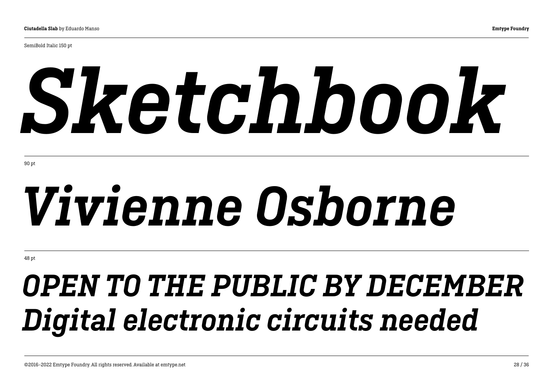SemiBold Italic 150 pt

# *Sketchbook*

90 pt

# *Vivienne Osborne*

48 pt

## *OPEN TO THE PUBLIC BY DECEMBER Digital electronic circuits needed*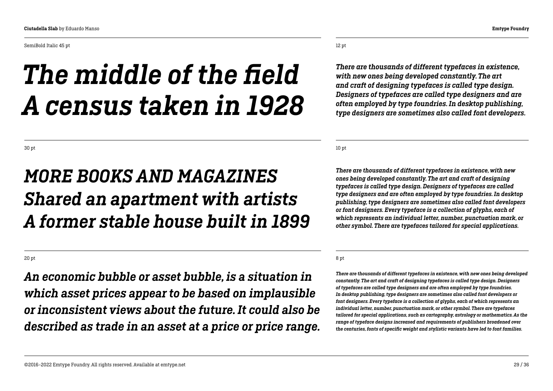SemiBold Italic 45 pt

## *The middle of the field*

### 12 pt

*There are thousands of different typefaces in existence, with new ones being developed constantly. The art and craft of designing typefaces is called type design. Designers of typefaces are called type designers and are often employed by type foundries. In desktop publishing, type designers are sometimes also called font developers.* 

10 pt

*There are thousands of different typefaces in existence, with new ones being developed constantly. The art and craft of designing typefaces is called type design. Designers of typefaces are called type designers and are often employed by type foundries. In desktop publishing, type designers are sometimes also called font developers or font designers. Every typeface is a collection of glyphs, each of which represents an individual letter, number, punctuation mark, or other symbol. There are typefaces tailored for special applications.*

#### 8 pt

*There are thousands of different typefaces in existence, with new ones being developed constantly. The art and craft of designing typefaces is called type design. Designers of typefaces are called type designers and are often employed by type foundries. In desktop publishing, type designers are sometimes also called font developers or font designers. Every typeface is a collection of glyphs, each of which represents an individual letter, number, punctuation mark, or other symbol. There are typefaces tailored for special applications, such as cartography, astrology or mathematics. As the range of typeface designs increased and requirements of publishers broadened over the centuries, fonts of specific weight and stylistic variants have led to font families.*

### *MORE BOOKS AND MAGAZINES Shared an apartment with artists A former stable house built in 1899*

*A census taken in 1928*

20 pt

*An economic bubble or asset bubble, is a situation in which asset prices appear to be based on implausible or inconsistent views about the future. It could also be described as trade in an asset at a price or price range.*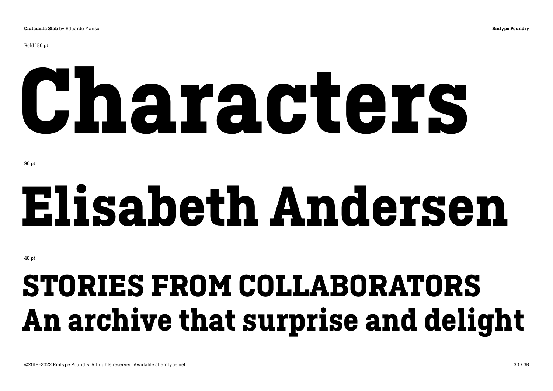# Characters

90 pt

## Elisabeth Andersen

48 pt

## STORIES FROM COLLABORATORS An archive that surprise and delight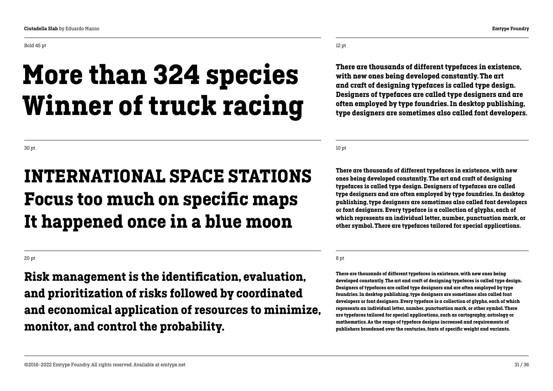monitor, and control the probability.

Bold 45 pt

### More than 324 species Winner of truck racing

30 pt

20 pt

### INTERNATIONAL SPACE STATIONS Focus too much on specific maps It happened once in a blue moon

Risk management is the identification, evaluation,

and prioritization of risks followed by coordinated

and economical application of resources to minimize,

12 pt

There are thousands of different typefaces in existence, with new ones being developed constantly. The art and craft of designing typefaces is called type design. Designers of typefaces are called type designers and are often employed by type foundries. In desktop publishing, type designers are sometimes also called font developers.

10 pt

There are thousands of different typefaces in existence, with new ones being developed constantly. The art and craft of designing typefaces is called type design. Designers of typefaces are called type designers and are often employed by type foundries. In desktop publishing, type designers are sometimes also called font developers or font designers. Every typeface is a collection of glyphs, each of which represents an individual letter, number, punctuation mark, or other symbol. There are typefaces tailored for special applications.

#### 8 pt

There are thousands of different typefaces in existence, with new ones being developed constantly. The art and craft of designing typefaces is called type design. Designers of typefaces are called type designers and are often employed by type foundries. In desktop publishing, type designers are sometimes also called font developers or font designers. Every typeface is a collection of glyphs, each of which represents an individual letter, number, punctuation mark, or other symbol. There are typefaces tailored for special applications, such as cartography, astrology or mathematics. As the range of typeface designs increased and requirements of publishers broadened over the centuries, fonts of specific weight and variants.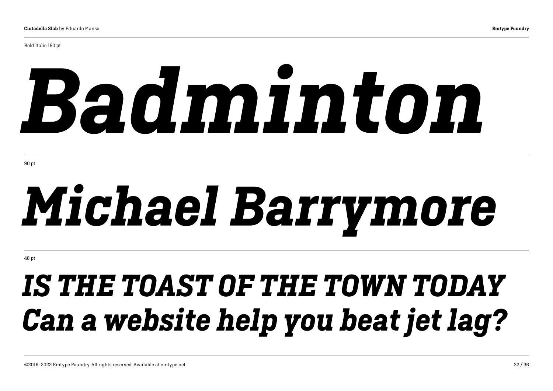Bold Italic 150 pt

# *Badminton*

90 pt

# *Michael Barrymore*

48 pt

## *IS THE TOAST OF THE TOWN TODAY Can a website help you beat jet lag?*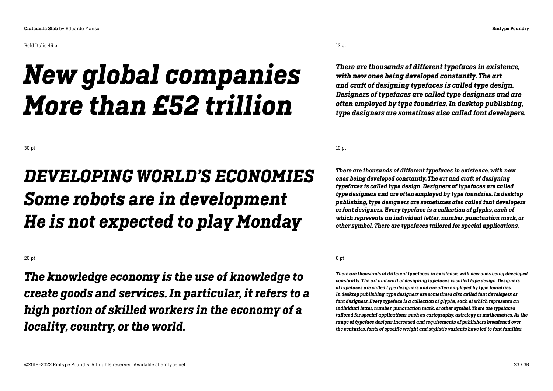Bold Italic 45 pt

### *New global companies More than £52 trillion*

12 pt

*There are thousands of different typefaces in existence, with new ones being developed constantly. The art and craft of designing typefaces is called type design. Designers of typefaces are called type designers and are often employed by type foundries. In desktop publishing, type designers are sometimes also called font developers.*

10 pt

*There are thousands of different typefaces in existence, with new ones being developed constantly. The art and craft of designing typefaces is called type design. Designers of typefaces are called type designers and are often employed by type foundries. In desktop publishing, type designers are sometimes also called font developers or font designers. Every typeface is a collection of glyphs, each of which represents an individual letter, number, punctuation mark, or other symbol. There are typefaces tailored for special applications.*

8 pt

*There are thousands of different typefaces in existence, with new ones being developed constantly. The art and craft of designing typefaces is called type design. Designers of typefaces are called type designers and are often employed by type foundries. In desktop publishing, type designers are sometimes also called font developers or font designers. Every typeface is a collection of glyphs, each of which represents an individual letter, number, punctuation mark, or other symbol. There are typefaces tailored for special applications, such as cartography, astrology or mathematics. As the range of typeface designs increased and requirements of publishers broadened over the centuries, fonts of specific weight and stylistic variants have led to font families.*

30 pt

### *DEVELOPING WORLD'S ECONOMIES Some robots are in development He is not expected to play Monday*

20 pt

*The knowledge economy is the use of knowledge to create goods and services. In particular, it refers to a high portion of skilled workers in the economy of a locality, country, or the world.*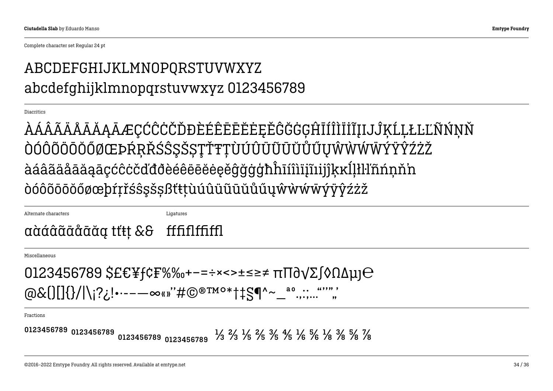Complete character set Regular 24 pt

### ABCDEFGHIJKLMNOPQRSTUVWXYZ abcdefghijklmnopqrstuvwxyz 0123456789

Diacritics

ÀÁÂÃÄÄÅĀĂĄĀÆÇĆĈĊČĎĐÈÉÊËĒĔĔĖĘĚĜĞĠĢĤĪÍÎÌĨĬĨIJĴĶĹĻŁĿĽÑŃŅŇ ÒÓÔÕÖÖŐŐØŒÞŔŖŘŚŜŞŠŞŢŤŦŢÙÚÛÜŨŨŬŮŰŬŴŴŴŴÝŸŶŹŻŽ àáâãäåāāaaaçćĉċčďđðèéêëēĕėęěĝğġġħĥīíîìijĩiijîkkĺļłŀl'nńnň'n òóôõöōŏőøœþŕŗřśŝşšṣßťŧţùúûüũūŭůűuŵẁŵŵÿŷŷźżž

Alternate characters

Ligatures

### aàáâãååãã tít! && fffififfiffi

Miscellaneous

```
0123456789 $£€¥f¢F%‰+-=÷×<>±≤≥≠ πΠ∂γΣ∫◊ΩΔμ]⊖
```
**Fractions** 

0123456789 0123456789 0123456789 0123456789  $\frac{1}{3}$   $\frac{2}{3}$   $\frac{1}{5}$   $\frac{2}{5}$   $\frac{3}{5}$   $\frac{4}{5}$   $\frac{1}{6}$   $\frac{5}{6}$   $\frac{1}{8}$   $\frac{3}{8}$   $\frac{5}{8}$   $\frac{7}{8}$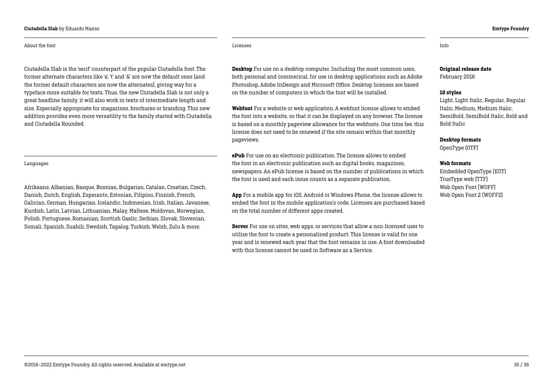#### Ciutadella Slab by Eduardo Manso Emtype Foundry

#### About the font

Ciutadella Slab is the 'serif' counterpart of the popular Ciutadella font. The former alternate characters like 'a', 't' and '&' are now the default ones (and the former default characters are now the alternates), giving way for a typeface more suitable for texts. Thus, the new Ciutadella Slab is not only a great headline family, it will also work in texts of intermediate length and size. Especially appropriate for magazines, brochures or branding. This new addition provides even more versatility to the family started with Ciutadella and Ciutadella Rounded.

#### Languages

Afrikaans, Albanian, Basque, Bosnian, Bulgarian, Catalan, Croatian, Czech, Danish, Dutch, English, Esperanto, Estonian, Filipino, Finnish, French, Galician, German, Hungarian, Icelandic, Indonesian, Irish, Italian, Javanese, Kurdish, Latin, Latvian, Lithuanian, Malay, Maltese, Moldovan, Norwegian, Polish, Portuguese, Romanian, Scottish Gaelic, Serbian, Slovak, Slovenian, Somali, Spanish, Suahili, Swedish, Tagalog, Turkish, Welsh, Zulu & more.

Licenses Info

**Desktop** For use on a desktop computer. Including the most common uses, both personal and commerical, for use in desktop applications such as Adobe Photoshop, Adobe InDesign and Microsoft Office. Desktop licenses are based on the number of computers in which the font will be installed.

Webfont For a website or web application. A webfont license allows to embed the font into a website, so that it can be displayed on any browser. The license is based on a monthly pageview allowance for the webfonts. One time fee, this license does not need to be renewed if the site remain within that monthly pageviews.

ePub For use on an electronic publication. The license allows to embed the font in an electronic publication such as digital books, magazines, newspapers. An ePub license is based on the number of publications in which the font is used and each issue counts as a separate publication.

App For a mobile app for iOS, Android or Windows Phone, the license allows to embed the font in the mobile application's code. Licenses are purchased based on the total number of different apps created.

Server For use on sites, web apps, or services that allow a non-licensed user to utilize the font to create a personalized product. This license is valid for one year and is renewed each year that the font remains in use. A font downloaded with this license cannot be used in Software as a Service.

### Original release date

February 2016

#### 10 styles

Light, Light Italic, Regular, Regular Italic, Medium, Medium Italic, SemiBold, SemiBold Italic, Bold and Bold Italic

Desktop formats

OpenType (OTF)

#### Web formats

Embedded OpenType (EOT) TrueType web (TTF) Web Open Font (WOFF) Web Open Font 2 (WOFF2)